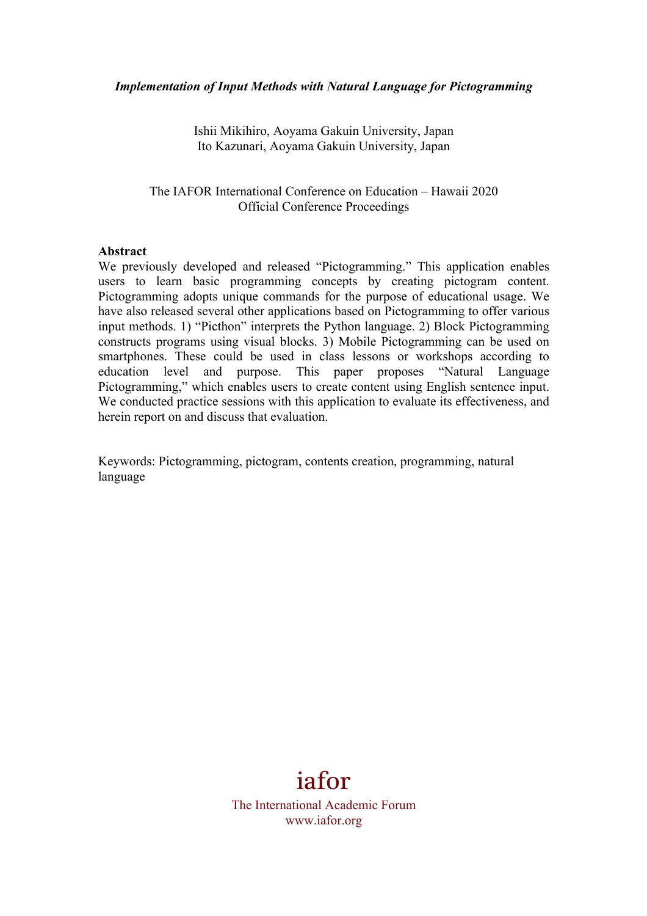Ishii Mikihiro, Aoyama Gakuin University, Japan Ito Kazunari, Aoyama Gakuin University, Japan

The IAFOR International Conference on Education – Hawaii 2020 Official Conference Proceedings

#### **Abstract**

We previously developed and released "Pictogramming." This application enables users to learn basic programming concepts by creating pictogram content. Pictogramming adopts unique commands for the purpose of educational usage. We have also released several other applications based on Pictogramming to offer various input methods. 1) "Picthon" interprets the Python language. 2) Block Pictogramming constructs programs using visual blocks. 3) Mobile Pictogramming can be used on smartphones. These could be used in class lessons or workshops according to education level and purpose. This paper proposes "Natural Language Pictogramming," which enables users to create content using English sentence input. We conducted practice sessions with this application to evaluate its effectiveness, and herein report on and discuss that evaluation.

Keywords: Pictogramming, pictogram, contents creation, programming, natural language



The International Academic Forum www.iafor.org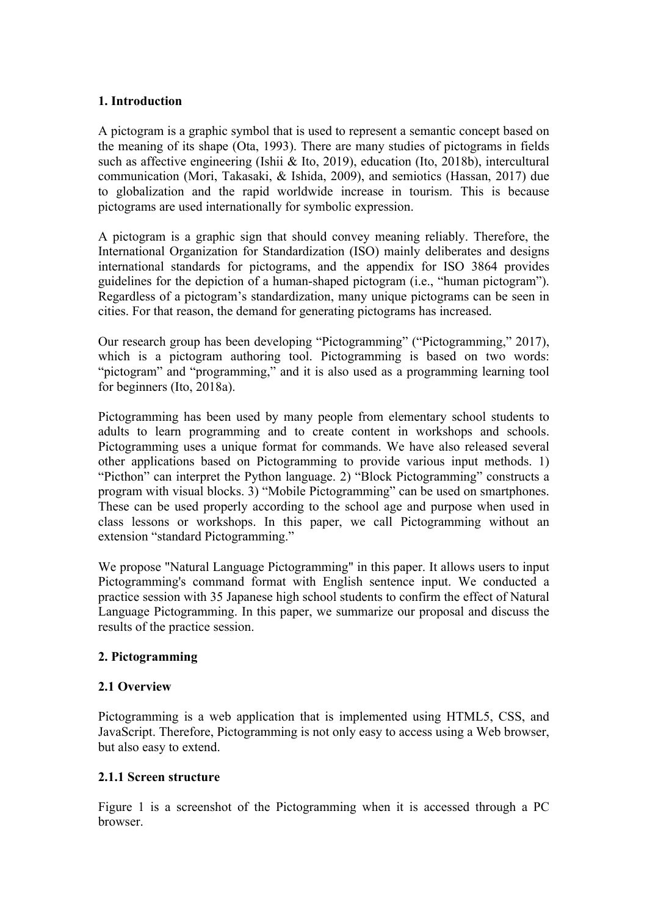### **1. Introduction**

A pictogram is a graphic symbol that is used to represent a semantic concept based on the meaning of its shape (Ota, 1993). There are many studies of pictograms in fields such as affective engineering (Ishii & Ito, 2019), education (Ito, 2018b), intercultural communication (Mori, Takasaki, & Ishida, 2009), and semiotics (Hassan, 2017) due to globalization and the rapid worldwide increase in tourism. This is because pictograms are used internationally for symbolic expression.

A pictogram is a graphic sign that should convey meaning reliably. Therefore, the International Organization for Standardization (ISO) mainly deliberates and designs international standards for pictograms, and the appendix for ISO 3864 provides guidelines for the depiction of a human-shaped pictogram (i.e., "human pictogram"). Regardless of a pictogram's standardization, many unique pictograms can be seen in cities. For that reason, the demand for generating pictograms has increased.

Our research group has been developing "Pictogramming" ("Pictogramming," 2017), which is a pictogram authoring tool. Pictogramming is based on two words: "pictogram" and "programming," and it is also used as a programming learning tool for beginners (Ito, 2018a).

Pictogramming has been used by many people from elementary school students to adults to learn programming and to create content in workshops and schools. Pictogramming uses a unique format for commands. We have also released several other applications based on Pictogramming to provide various input methods. 1) "Picthon" can interpret the Python language. 2) "Block Pictogramming" constructs a program with visual blocks. 3) "Mobile Pictogramming" can be used on smartphones. These can be used properly according to the school age and purpose when used in class lessons or workshops. In this paper, we call Pictogramming without an extension "standard Pictogramming."

We propose "Natural Language Pictogramming" in this paper. It allows users to input Pictogramming's command format with English sentence input. We conducted a practice session with 35 Japanese high school students to confirm the effect of Natural Language Pictogramming. In this paper, we summarize our proposal and discuss the results of the practice session.

### **2. Pictogramming**

### **2.1 Overview**

Pictogramming is a web application that is implemented using HTML5, CSS, and JavaScript. Therefore, Pictogramming is not only easy to access using a Web browser, but also easy to extend.

### **2.1.1 Screen structure**

Figure 1 is a screenshot of the Pictogramming when it is accessed through a PC browser.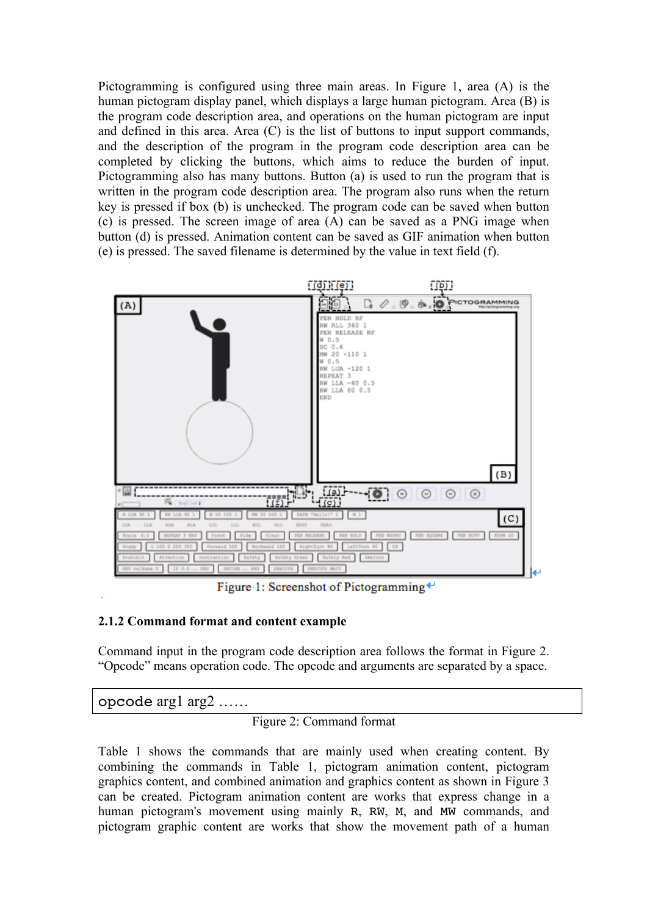Pictogramming is configured using three main areas. In Figure 1, area (A) is the human pictogram display panel, which displays a large human pictogram. Area (B) is the program code description area, and operations on the human pictogram are input and defined in this area. Area (C) is the list of buttons to input support commands, and the description of the program in the program code description area can be completed by clicking the buttons, which aims to reduce the burden of input. Pictogramming also has many buttons. Button (a) is used to run the program that is written in the program code description area. The program also runs when the return key is pressed if box (b) is unchecked. The program code can be saved when button (c) is pressed. The screen image of area (A) can be saved as a PNG image when button (d) is pressed. Animation content can be saved as GIF animation when button (e) is pressed. The saved filename is determined by the value in text field (f).



Figure 1: Screenshot of Pictogramming ←

### **2.1.2 Command format and content example**

Command input in the program code description area follows the format in Figure 2. "Opcode" means operation code. The opcode and arguments are separated by a space.

opcode arg1 arg2 ……

# Figure 2: Command format

Table 1 shows the commands that are mainly used when creating content. By combining the commands in Table 1, pictogram animation content, pictogram graphics content, and combined animation and graphics content as shown in Figure 3 can be created. Pictogram animation content are works that express change in a human pictogram's movement using mainly R, RW, M, and MW commands, and pictogram graphic content are works that show the movement path of a human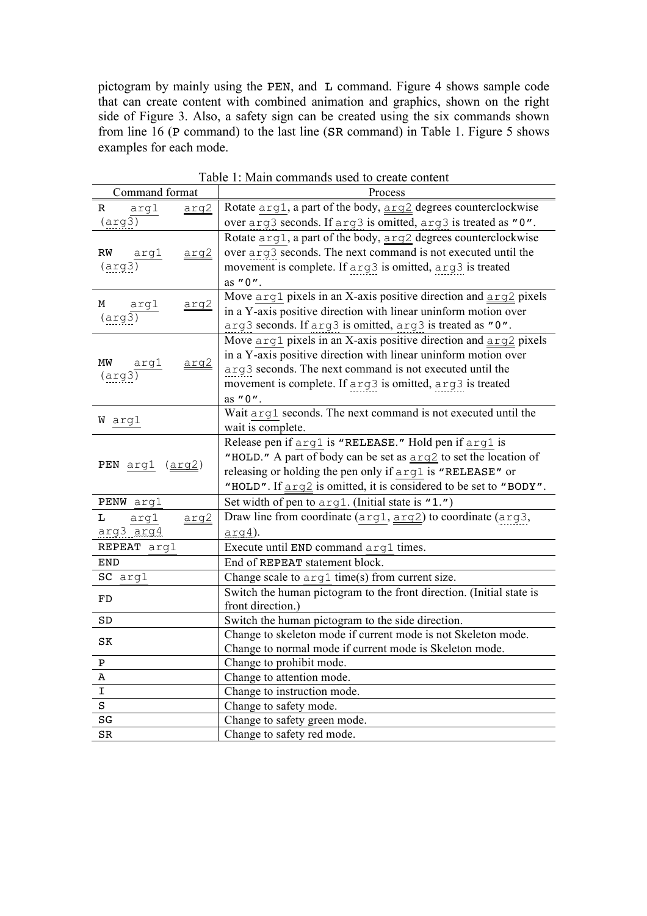pictogram by mainly using the PEN, and L command. Figure 4 shows sample code that can create content with combined animation and graphics, shown on the right side of Figure 3. Also, a safety sign can be created using the six commands shown from line 16 (P command) to the last line (SR command) in Table 1. Figure 5 shows examples for each mode.

| Command format             | Process                                                                                        |  |  |  |  |
|----------------------------|------------------------------------------------------------------------------------------------|--|--|--|--|
| R<br>arg1<br>arg2          | Rotate arg1, a part of the body, arg2 degrees counterclockwise                                 |  |  |  |  |
| $(\arg 3)$                 | over arg3 seconds. If arg3 is omitted, arg3 is treated as "0".                                 |  |  |  |  |
|                            | Rotate arg1, a part of the body, arg2 degrees counterclockwise                                 |  |  |  |  |
| ${\rm RW}$<br>argl<br>arg2 | over $arg3$ seconds. The next command is not executed until the                                |  |  |  |  |
| $(\arg 3)$                 | movement is complete. If arg3 is omitted, arg3 is treated                                      |  |  |  |  |
|                            | as "0".                                                                                        |  |  |  |  |
|                            | Move arg1 pixels in an X-axis positive direction and arg2 pixels                               |  |  |  |  |
| М<br>arql<br>arg2          | in a Y-axis positive direction with linear uninform motion over                                |  |  |  |  |
| $(\arg 3)$                 | arg3 seconds. If arg3 is omitted, arg3 is treated as "0".                                      |  |  |  |  |
|                            | Move $\arg 1$ pixels in an X-axis positive direction and $\arg 2$ pixels                       |  |  |  |  |
|                            | in a Y-axis positive direction with linear uninform motion over                                |  |  |  |  |
| MW<br>arg2<br>argl         | arg3 seconds. The next command is not executed until the                                       |  |  |  |  |
| $(\arg 3)$                 | movement is complete. If arg3 is omitted, arg3 is treated                                      |  |  |  |  |
|                            | as "0".                                                                                        |  |  |  |  |
|                            | Wait arg1 seconds. The next command is not executed until the                                  |  |  |  |  |
| W arg1                     | wait is complete.                                                                              |  |  |  |  |
|                            | Release pen if arg1 is "RELEASE." Hold pen if arg1 is                                          |  |  |  |  |
|                            | "HOLD." A part of body can be set as $\frac{\text{arg2}}{\text{log 2}}$ to set the location of |  |  |  |  |
| PEN arg1 (arg2)            | releasing or holding the pen only if arg1 is "RELEASE" or                                      |  |  |  |  |
|                            | "HOLD". If <u>arg2</u> is omitted, it is considered to be set to "BODY".                       |  |  |  |  |
| PENW arg1                  | Set width of pen to $arg1$ . (Initial state is "1.")                                           |  |  |  |  |
| Г<br>arg1<br>arg2          | Draw line from coordinate $(\text{arg1}, \text{arg2})$ to coordinate $(\text{arg3},$           |  |  |  |  |
| arg3 arg4                  | $arg4$ ).                                                                                      |  |  |  |  |
| REPEAT arg1                | Execute until END command arg1 times.                                                          |  |  |  |  |
| <b>END</b>                 | End of REPEAT statement block.                                                                 |  |  |  |  |
| SC arg1                    | Change scale to $arg1$ time(s) from current size.                                              |  |  |  |  |
|                            | Switch the human pictogram to the front direction. (Initial state is                           |  |  |  |  |
| FD                         | front direction.)                                                                              |  |  |  |  |
| SD                         | Switch the human pictogram to the side direction.                                              |  |  |  |  |
|                            | Change to skeleton mode if current mode is not Skeleton mode.                                  |  |  |  |  |
| SK                         | Change to normal mode if current mode is Skeleton mode.                                        |  |  |  |  |
| Ρ                          | Change to prohibit mode.                                                                       |  |  |  |  |
| А                          | Change to attention mode.                                                                      |  |  |  |  |
| I                          | Change to instruction mode.                                                                    |  |  |  |  |
| S                          | Change to safety mode.                                                                         |  |  |  |  |
| SG                         | Change to safety green mode.                                                                   |  |  |  |  |
| SR                         | Change to safety red mode.                                                                     |  |  |  |  |

Table 1: Main commands used to create content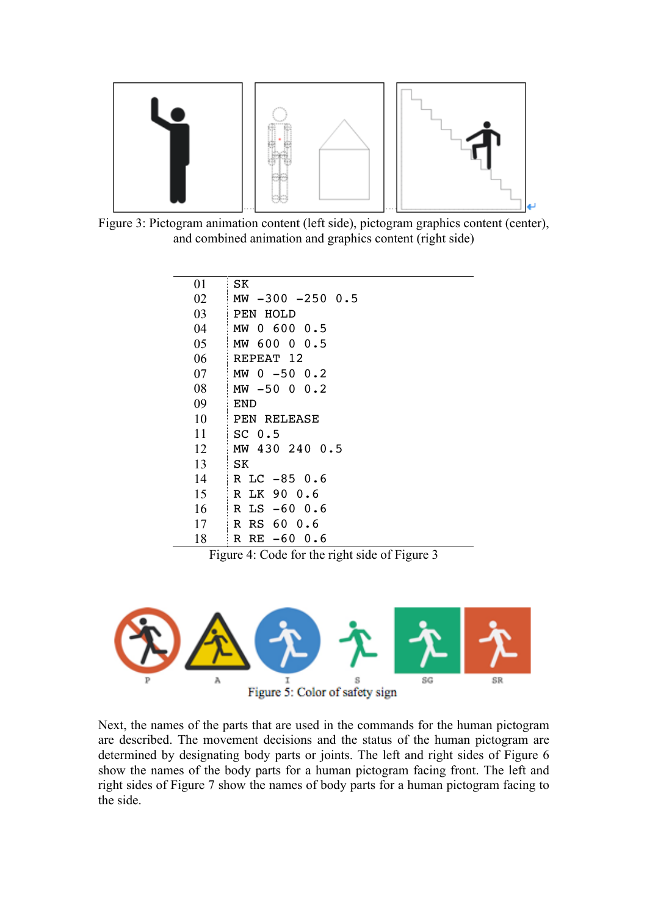

 Figure 3: Pictogram animation content (left side), pictogram graphics content (center), and combined animation and graphics content (right side)

| 01 | SK                                                                                                                                                                                                                                                                                                                                         |
|----|--------------------------------------------------------------------------------------------------------------------------------------------------------------------------------------------------------------------------------------------------------------------------------------------------------------------------------------------|
| 02 | $MW - 300 - 2500$ .                                                                                                                                                                                                                                                                                                                        |
| 03 | PEN HOLD                                                                                                                                                                                                                                                                                                                                   |
| 04 | 0,600,0.5<br>МW                                                                                                                                                                                                                                                                                                                            |
| 05 | MW 600 0 0.5                                                                                                                                                                                                                                                                                                                               |
| 06 | REPEAT 12                                                                                                                                                                                                                                                                                                                                  |
| 07 | MW 0 -50 0.2                                                                                                                                                                                                                                                                                                                               |
| 08 | MW -50 0<br>0.2                                                                                                                                                                                                                                                                                                                            |
| 09 | <b>END</b>                                                                                                                                                                                                                                                                                                                                 |
| 10 | PEN RELEASE                                                                                                                                                                                                                                                                                                                                |
| 11 | İ<br>SC <sub>0.5</sub>                                                                                                                                                                                                                                                                                                                     |
| 12 | MW 430 240 0.5                                                                                                                                                                                                                                                                                                                             |
| 13 | l<br>SK                                                                                                                                                                                                                                                                                                                                    |
| 14 | İ<br>R LC -85 0.6                                                                                                                                                                                                                                                                                                                          |
| 15 | $\begin{bmatrix} 1 & 0 & 0 & 0 \\ 0 & 0 & 0 & 0 \\ 0 & 0 & 0 & 0 \\ 0 & 0 & 0 & 0 \\ 0 & 0 & 0 & 0 \\ 0 & 0 & 0 & 0 & 0 \\ 0 & 0 & 0 & 0 & 0 \\ 0 & 0 & 0 & 0 & 0 \\ 0 & 0 & 0 & 0 & 0 & 0 \\ 0 & 0 & 0 & 0 & 0 & 0 \\ 0 & 0 & 0 & 0 & 0 & 0 \\ 0 & 0 & 0 & 0 & 0 & 0 & 0 \\ 0 & 0 & 0 & 0 & 0 & 0 & 0 \\ 0 & 0 & 0 & 0 & $<br>R LK 90 0.6 |
| 16 | i<br>Samud Sa<br>$LS -600.6$<br>$\mathbb{R}$                                                                                                                                                                                                                                                                                               |
| 17 | RS 60 0.6<br>$\mathbb{R}$                                                                                                                                                                                                                                                                                                                  |
| 18 | $-60$ 0.6<br>R<br>RE                                                                                                                                                                                                                                                                                                                       |

Figure 4: Code for the right side of Figure 3



Next, the names of the parts that are used in the commands for the human pictogram are described. The movement decisions and the status of the human pictogram are determined by designating body parts or joints. The left and right sides of Figure 6 show the names of the body parts for a human pictogram facing front. The left and right sides of Figure 7 show the names of body parts for a human pictogram facing to the side.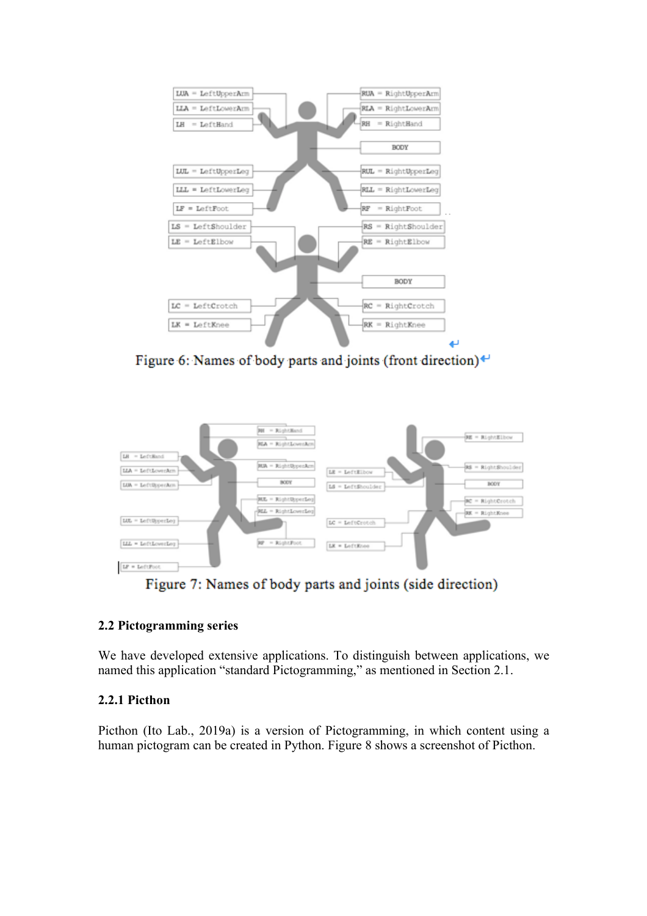

Figure 6: Names of body parts and joints (front direction) $\leftrightarrow$ 



Figure 7: Names of body parts and joints (side direction)

# **2.2 Pictogramming series**

We have developed extensive applications. To distinguish between applications, we named this application "standard Pictogramming," as mentioned in Section 2.1.

# **2.2.1 Picthon**

Picthon (Ito Lab., 2019a) is a version of Pictogramming, in which content using a human pictogram can be created in Python. Figure 8 shows a screenshot of Picthon.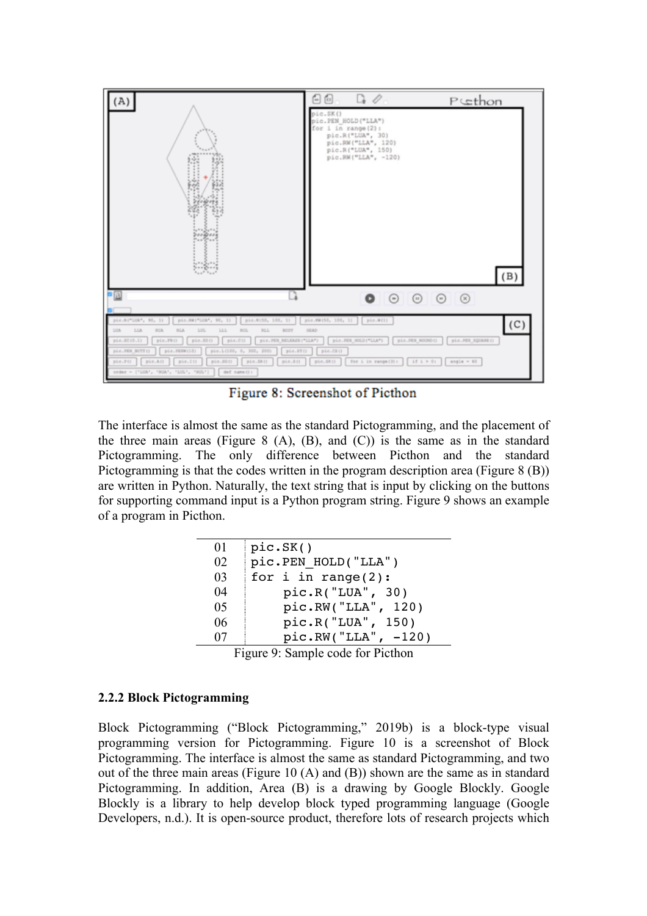

Figure 8: Screenshot of Picthon

The interface is almost the same as the standard Pictogramming, and the placement of the three main areas (Figure 8  $(A)$ ,  $(B)$ , and  $(C)$ ) is the same as in the standard Pictogramming. The only difference between Picthon and the standard Pictogramming is that the codes written in the program description area (Figure 8 (B)) are written in Python. Naturally, the text string that is input by clicking on the buttons for supporting command input is a Python program string. Figure 9 shows an example of a program in Picthon.

| 01 | pic.SK()              |
|----|-----------------------|
| 02 | pic.PEN HOLD("LLA")   |
| 03 | for $i$ in range(2):  |
| 04 | pic.R("LUA", 30)      |
| 05 | pic.RW("LLA", 120)    |
| 06 | pic.R("LUA", 150)     |
| 07 | $pic.RW("LLA", -120)$ |

Figure 9: Sample code for Picthon

### **2.2.2 Block Pictogramming**

Block Pictogramming ("Block Pictogramming," 2019b) is a block-type visual programming version for Pictogramming. Figure 10 is a screenshot of Block Pictogramming. The interface is almost the same as standard Pictogramming, and two out of the three main areas (Figure 10 (A) and (B)) shown are the same as in standard Pictogramming. In addition, Area (B) is a drawing by Google Blockly. Google Blockly is a library to help develop block typed programming language (Google Developers, n.d.). It is open-source product, therefore lots of research projects which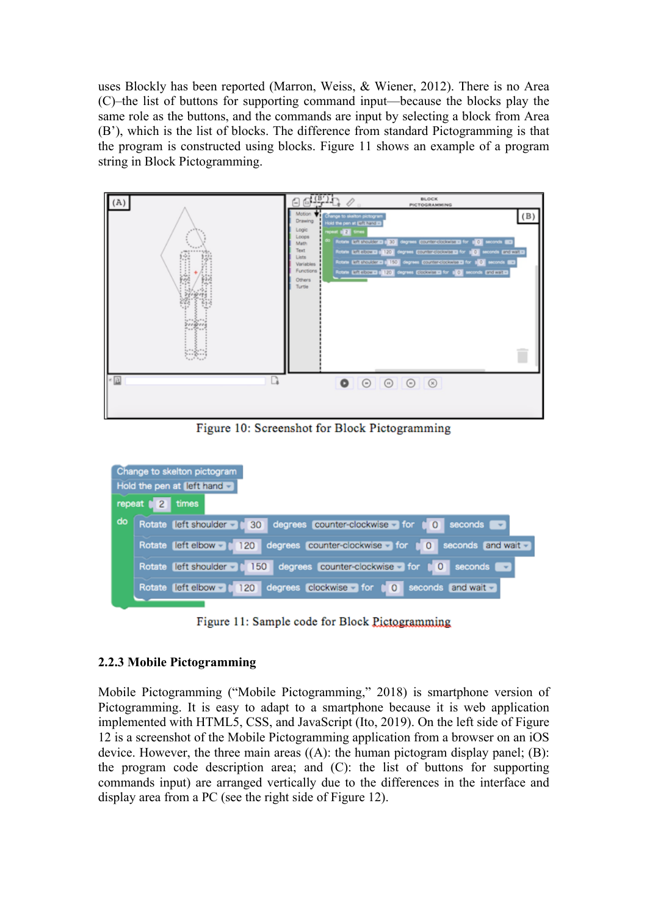uses Blockly has been reported (Marron, Weiss, & Wiener, 2012). There is no Area (C)–the list of buttons for supporting command input—because the blocks play the same role as the buttons, and the commands are input by selecting a block from Area (B'), which is the list of blocks. The difference from standard Pictogramming is that the program is constructed using blocks. Figure 11 shows an example of a program string in Block Pictogramming.



Figure 10: Screenshot for Block Pictogramming



Figure 11: Sample code for Block Pictogramming

### **2.2.3 Mobile Pictogramming**

Mobile Pictogramming ("Mobile Pictogramming," 2018) is smartphone version of Pictogramming. It is easy to adapt to a smartphone because it is web application implemented with HTML5, CSS, and JavaScript (Ito, 2019). On the left side of Figure 12 is a screenshot of the Mobile Pictogramming application from a browser on an iOS device. However, the three main areas  $((A)$ : the human pictogram display panel;  $(B)$ : the program code description area; and (C): the list of buttons for supporting commands input) are arranged vertically due to the differences in the interface and display area from a PC (see the right side of Figure 12).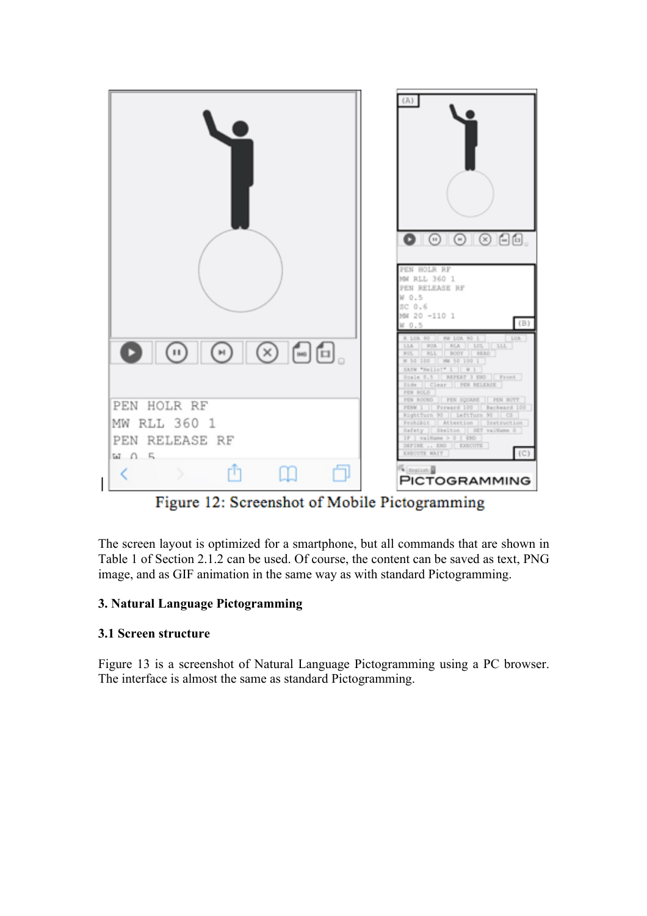

Figure 12: Screenshot of Mobile Pictogramming

The screen layout is optimized for a smartphone, but all commands that are shown in Table 1 of Section 2.1.2 can be used. Of course, the content can be saved as text, PNG image, and as GIF animation in the same way as with standard Pictogramming.

# **3. Natural Language Pictogramming**

# **3.1 Screen structure**

Figure 13 is a screenshot of Natural Language Pictogramming using a PC browser. The interface is almost the same as standard Pictogramming.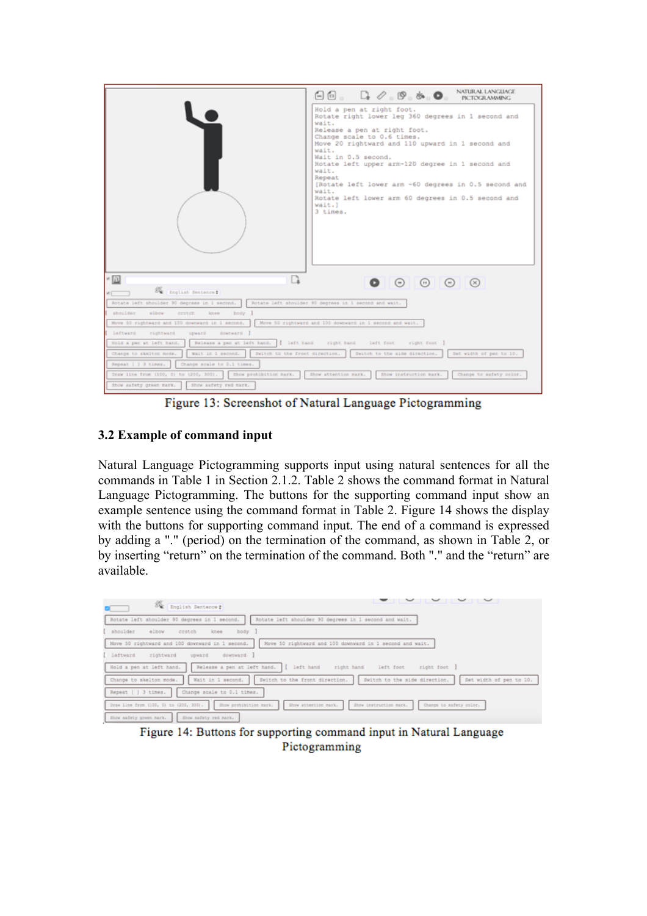|                                                                                                                                         | $\Box$ $\Box$ , $\Box$ , $\oslash$ , $\otimes$ , $\otimes$ , $\Box$ , NITURALLANGUNGI                                                                                                                                                                                                                                                                                                                                                                          |  |  |  |  |  |
|-----------------------------------------------------------------------------------------------------------------------------------------|----------------------------------------------------------------------------------------------------------------------------------------------------------------------------------------------------------------------------------------------------------------------------------------------------------------------------------------------------------------------------------------------------------------------------------------------------------------|--|--|--|--|--|
|                                                                                                                                         | Hold a pen at right foot.<br>Rotate right lower leg 360 degrees in 1 second and<br>wait.<br>Release a pen at right foot.<br>Change scale to 0.6 times.<br>Move 20 rightward and 110 upward in 1 second and<br>wait.<br>Wait in 0.5 second.<br>Rotate left upper arm-120 degree in 1 second and<br>wait.<br>Repeat<br>[Rotate left lower arm -60 degrees in 0.5 second and<br>wait.<br>Rotate left lower arm 60 degrees in 0.5 second and<br>wait.)<br>3 times. |  |  |  |  |  |
| - [1]                                                                                                                                   | $\begin{array}{c} \circ \\ \circ \\ \circ \end{array}$                                                                                                                                                                                                                                                                                                                                                                                                         |  |  |  |  |  |
| Se gralish Sentence:                                                                                                                    |                                                                                                                                                                                                                                                                                                                                                                                                                                                                |  |  |  |  |  |
| Rotate left shoulder 90 degrees in 1 second.                                                                                            | Rotate left shoulder 90 degrees in 1 second and wait.                                                                                                                                                                                                                                                                                                                                                                                                          |  |  |  |  |  |
| shoulder<br>elbow<br>crotch<br>body ]<br>knee                                                                                           |                                                                                                                                                                                                                                                                                                                                                                                                                                                                |  |  |  |  |  |
| Move 50 rightward and 100 downward in 1 second.                                                                                         | Move 50 rightward and 100 downward in 1 second and wait.                                                                                                                                                                                                                                                                                                                                                                                                       |  |  |  |  |  |
| leftward rightward<br>downward I<br>upward                                                                                              |                                                                                                                                                                                                                                                                                                                                                                                                                                                                |  |  |  |  |  |
| Release a pen at left hand. [ left hand - right hand - left foot - right foot ]<br>Hold a pen at left hand.                             |                                                                                                                                                                                                                                                                                                                                                                                                                                                                |  |  |  |  |  |
| Switch to the front direction. Switch to the aide direction.<br>Set width of pan to 10.<br>Change to skelton mode.<br>Wait in 1 second. |                                                                                                                                                                                                                                                                                                                                                                                                                                                                |  |  |  |  |  |
| Repeat [ ] 3 times.<br>Change scale to 0.1 times.                                                                                       |                                                                                                                                                                                                                                                                                                                                                                                                                                                                |  |  |  |  |  |
| Draw line from (100, 0) to (200, 300). Show prohibition mark.                                                                           | Show attention mark.<br>Show instruction mark.<br>Change to safety color.                                                                                                                                                                                                                                                                                                                                                                                      |  |  |  |  |  |
| Show safety green mark.<br>Show safety red mark.                                                                                        |                                                                                                                                                                                                                                                                                                                                                                                                                                                                |  |  |  |  |  |

Figure 13: Screenshot of Natural Language Pictogramming

### **3.2 Example of command input**

Natural Language Pictogramming supports input using natural sentences for all the commands in Table 1 in Section 2.1.2. Table 2 shows the command format in Natural Language Pictogramming. The buttons for the supporting command input show an example sentence using the command format in Table 2. Figure 14 shows the display with the buttons for supporting command input. The end of a command is expressed by adding a "." (period) on the termination of the command, as shown in Table 2, or by inserting "return" on the termination of the command. Both "." and the "return" are available.

| 綏<br>English Sentence #                                          | $\sim$                                                                                     |
|------------------------------------------------------------------|--------------------------------------------------------------------------------------------|
| Rotate left shoulder 90 degrees in 1 second.                     | Rotate left shoulder 90 degrees in 1 second and wait.                                      |
| elbow<br>body<br>shoulder<br>crotch<br>knee                      |                                                                                            |
| Move 50 rightward and 100 downward in 1 second.                  | Move 50 rightward and 100 downward in 1 second and wait.                                   |
| downward  <br>leftward<br>rightward<br>upward                    |                                                                                            |
| Release a pen at left hand.<br>Hold a pen at left hand.          | left hand<br>right hand<br>right foot<br>left foot                                         |
| Wait in 1 second.<br>Change to skelton mode.                     | Set width of pen to 10.<br>Switch to the front direction.<br>Switch to the side direction. |
| Repeat [ ] 3 times.<br>Change scale to 0.1 times.                |                                                                                            |
| Draw line from (100, 0) to (200, 300).<br>Show prohibition mark. | Show attention mark.<br>Show instruction mark.<br>Change to safety color.                  |
| Show safety green mark.<br>Show safety red mark.                 |                                                                                            |

Figure 14: Buttons for supporting command input in Natural Language Pictogramming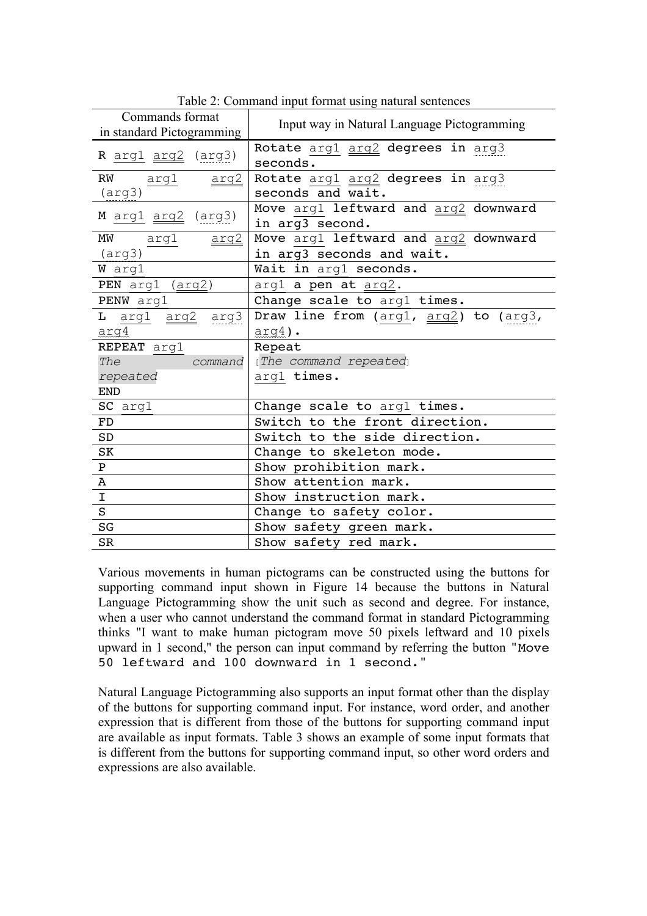| Commands format<br>in standard Pictogramming | Input way in Natural Language Pictogramming             |  |  |  |  |  |
|----------------------------------------------|---------------------------------------------------------|--|--|--|--|--|
| R arg1 arg2 (arg3)                           | Rotate arg1 arg2 degrees in arg3<br>seconds.            |  |  |  |  |  |
| RW<br>arg1 <u>arg2</u>                       | Rotate arg1 arg2 degrees in arg3                        |  |  |  |  |  |
| $(\text{arg3})$                              | seconds and wait.                                       |  |  |  |  |  |
| M arg1 arg2 (arg3)                           | Move arg1 leftward and arg2 downward<br>in arg3 second. |  |  |  |  |  |
| MW arg1<br><u>arg2</u>                       | Move argl leftward and arg2 downward                    |  |  |  |  |  |
| $(\text{arg3})$                              | in arg3 seconds and wait.                               |  |  |  |  |  |
| W arg1                                       | Wait in arg1 seconds.                                   |  |  |  |  |  |
| PEN arg1 (arg2)                              | arg1 a pen at arg2.                                     |  |  |  |  |  |
| PENW arg1                                    | Change scale to arg1 times.                             |  |  |  |  |  |
| L arg1 arg2 arg3                             | Draw line from (arg1, arg2) to (arg3,                   |  |  |  |  |  |
| arg4                                         | $arg4$ ).                                               |  |  |  |  |  |
| REPEAT arg1                                  | Repeat                                                  |  |  |  |  |  |
| The<br>command                               | [The command repeated]                                  |  |  |  |  |  |
| repeated                                     | arg1 times.                                             |  |  |  |  |  |
| <b>END</b>                                   |                                                         |  |  |  |  |  |
| SC arg1                                      | Change scale to arg1 times.                             |  |  |  |  |  |
| FD                                           | Switch to the front direction.                          |  |  |  |  |  |
| SD                                           | Switch to the side direction.                           |  |  |  |  |  |
| SK                                           | Change to skeleton mode.                                |  |  |  |  |  |
| ${\bf P}$                                    | Show prohibition mark.                                  |  |  |  |  |  |
| A                                            | Show attention mark.                                    |  |  |  |  |  |
| $\overline{1}$                               | Show instruction mark.                                  |  |  |  |  |  |
| S                                            | Change to safety color.                                 |  |  |  |  |  |
| SG                                           | Show safety green mark.                                 |  |  |  |  |  |
| <b>SR</b>                                    | Show safety red mark.                                   |  |  |  |  |  |

Table 2: Command input format using natural sentences

Various movements in human pictograms can be constructed using the buttons for supporting command input shown in Figure 14 because the buttons in Natural Language Pictogramming show the unit such as second and degree. For instance, when a user who cannot understand the command format in standard Pictogramming thinks "I want to make human pictogram move 50 pixels leftward and 10 pixels upward in 1 second," the person can input command by referring the button "Move 50 leftward and 100 downward in 1 second."

Natural Language Pictogramming also supports an input format other than the display of the buttons for supporting command input. For instance, word order, and another expression that is different from those of the buttons for supporting command input are available as input formats. Table 3 shows an example of some input formats that is different from the buttons for supporting command input, so other word orders and expressions are also available.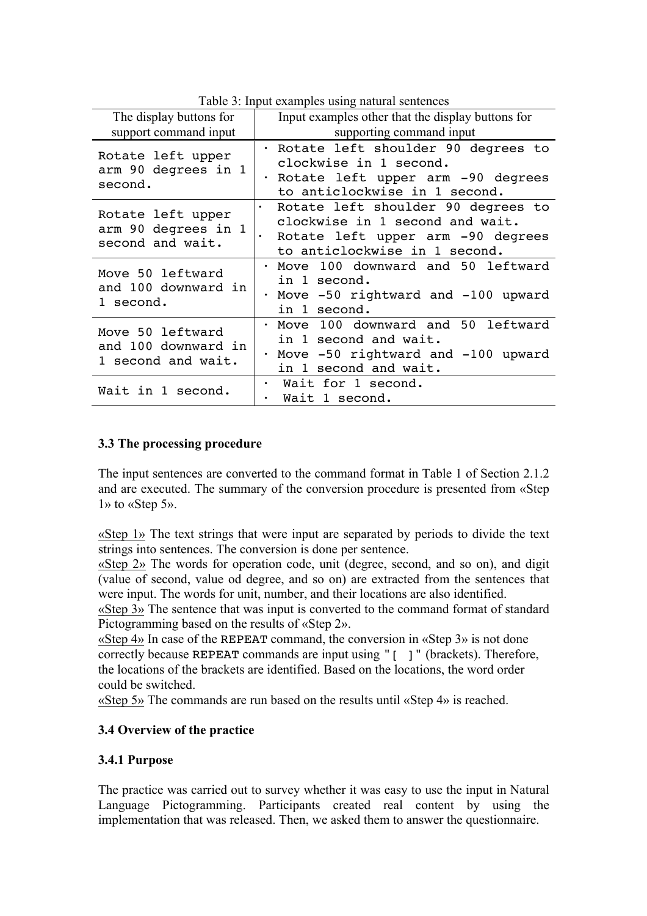| The display buttons for                                       | Input examples other that the display buttons for                                                                                           |  |  |  |  |  |
|---------------------------------------------------------------|---------------------------------------------------------------------------------------------------------------------------------------------|--|--|--|--|--|
| support command input                                         | supporting command input                                                                                                                    |  |  |  |  |  |
| Rotate left upper<br>arm 90 degrees in 1<br>second.           | · Rotate left shoulder 90 degrees to<br>clockwise in 1 second.<br>Rotate left upper arm -90 degrees<br>to anticlockwise in 1 second.        |  |  |  |  |  |
| Rotate left upper<br>arm 90 degrees in 1<br>second and wait.  | Rotate left shoulder 90 degrees to<br>clockwise in 1 second and wait.<br>Rotate left upper arm -90 degrees<br>to anticlockwise in 1 second. |  |  |  |  |  |
| Move 50 leftward<br>and 100 downward in<br>1 second.          | Move 100 downward and 50 leftward<br>in 1 second.<br>· Move -50 rightward and -100 upward<br>in 1 second.                                   |  |  |  |  |  |
| Move 50 leftward<br>and 100 downward in<br>1 second and wait. | Move 100 downward and 50 leftward<br>$\bullet$<br>in 1 second and wait.<br>Move -50 rightward and -100 upward<br>in 1 second and wait.      |  |  |  |  |  |
| Wait in 1 second.                                             | Wait for 1 second.<br>Wait 1 second.                                                                                                        |  |  |  |  |  |

Table 3: Input examples using natural sentences

### **3.3 The processing procedure**

The input sentences are converted to the command format in Table 1 of Section 2.1.2 and are executed. The summary of the conversion procedure is presented from «Step 1» to «Step 5».

«Step 1» The text strings that were input are separated by periods to divide the text strings into sentences. The conversion is done per sentence.

«Step 2» The words for operation code, unit (degree, second, and so on), and digit (value of second, value od degree, and so on) are extracted from the sentences that were input. The words for unit, number, and their locations are also identified.

«Step 3» The sentence that was input is converted to the command format of standard Pictogramming based on the results of «Step 2».

«Step 4» In case of the REPEAT command, the conversion in «Step 3» is not done correctly because REPEAT commands are input using "[ ]" (brackets). Therefore, the locations of the brackets are identified. Based on the locations, the word order could be switched.

«Step 5» The commands are run based on the results until «Step 4» is reached.

### **3.4 Overview of the practice**

### **3.4.1 Purpose**

The practice was carried out to survey whether it was easy to use the input in Natural Language Pictogramming. Participants created real content by using the implementation that was released. Then, we asked them to answer the questionnaire.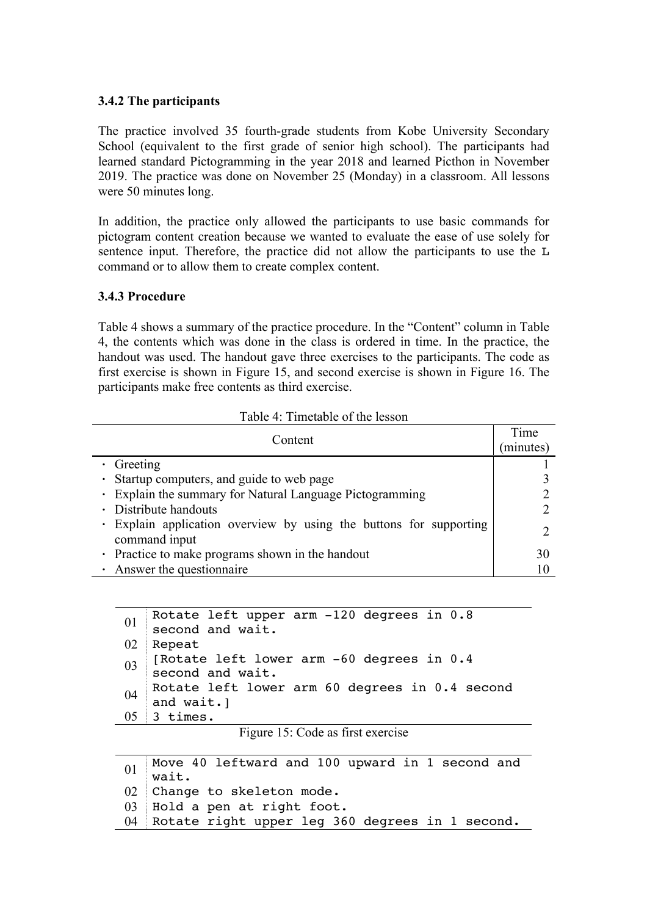### **3.4.2 The participants**

The practice involved 35 fourth-grade students from Kobe University Secondary School (equivalent to the first grade of senior high school). The participants had learned standard Pictogramming in the year 2018 and learned Picthon in November 2019. The practice was done on November 25 (Monday) in a classroom. All lessons were 50 minutes long.

In addition, the practice only allowed the participants to use basic commands for pictogram content creation because we wanted to evaluate the ease of use solely for sentence input. Therefore, the practice did not allow the participants to use the L command or to allow them to create complex content.

### **3.4.3 Procedure**

Table 4 shows a summary of the practice procedure. In the "Content" column in Table 4, the contents which was done in the class is ordered in time. In the practice, the handout was used. The handout gave three exercises to the participants. The code as first exercise is shown in Figure 15, and second exercise is shown in Figure 16. The participants make free contents as third exercise.

| Table 4: Timetable of the lesson |  |  |
|----------------------------------|--|--|
|----------------------------------|--|--|

| Content                                                                             |    |
|-------------------------------------------------------------------------------------|----|
|                                                                                     |    |
| • Startup computers, and guide to web page                                          |    |
| • Explain the summary for Natural Language Pictogramming                            |    |
| • Distribute handouts                                                               |    |
| · Explain application overview by using the buttons for supporting<br>command input |    |
| • Practice to make programs shown in the handout                                    | 30 |
| Answer the questionnaire                                                            |    |

```
_{01} Rotate left upper arm -120 degrees in 0.8
   second and wait.
02 Repeat
03 [Rotate left lower arm -60 degrees in 0.4
   second and wait.
04 Rotate left lower arm 60 degrees in 0.4 second
   and wait.]
05 3 times.
```
Figure 15: Code as first exercise

01 Move 40 leftward and 100 upward in 1 second and wait. 02 Change to skeleton mode. 03 Hold a pen at right foot. 04 Rotate right upper leg 360 degrees in 1 second.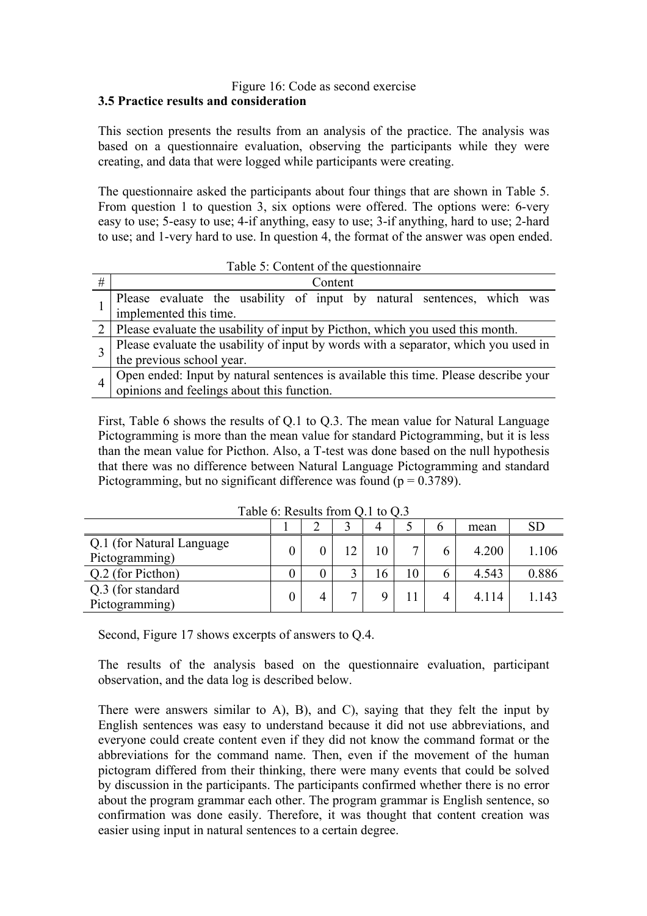#### Figure 16: Code as second exercise **3.5 Practice results and consideration**

This section presents the results from an analysis of the practice. The analysis was based on a questionnaire evaluation, observing the participants while they were creating, and data that were logged while participants were creating.

The questionnaire asked the participants about four things that are shown in Table 5. From question 1 to question 3, six options were offered. The options were: 6-very easy to use; 5-easy to use; 4-if anything, easy to use; 3-if anything, hard to use; 2-hard to use; and 1-very hard to use. In question 4, the format of the answer was open ended.

|   | Table 5: Content of the questionnaire                                                                                          |  |  |  |  |  |  |  |  |
|---|--------------------------------------------------------------------------------------------------------------------------------|--|--|--|--|--|--|--|--|
| # | Content                                                                                                                        |  |  |  |  |  |  |  |  |
|   | Please evaluate the usability of input by natural sentences, which was                                                         |  |  |  |  |  |  |  |  |
|   | implemented this time.                                                                                                         |  |  |  |  |  |  |  |  |
|   | 2   Please evaluate the usability of input by Picthon, which you used this month.                                              |  |  |  |  |  |  |  |  |
|   | Please evaluate the usability of input by words with a separator, which you used in                                            |  |  |  |  |  |  |  |  |
|   | the previous school year.                                                                                                      |  |  |  |  |  |  |  |  |
|   | Open ended: Input by natural sentences is available this time. Please describe your opinions and feelings about this function. |  |  |  |  |  |  |  |  |
|   |                                                                                                                                |  |  |  |  |  |  |  |  |

First, Table 6 shows the results of Q.1 to Q.3. The mean value for Natural Language Pictogramming is more than the mean value for standard Pictogramming, but it is less than the mean value for Picthon. Also, a T-test was done based on the null hypothesis that there was no difference between Natural Language Pictogramming and standard Pictogramming, but no significant difference was found ( $p = 0.3789$ ).

| Table 0. Results from $Q_i$ to $Q_i$ .       |  |  |    |    |              |   |       |           |
|----------------------------------------------|--|--|----|----|--------------|---|-------|-----------|
|                                              |  |  |    | 4  |              |   | mean  | <b>SD</b> |
| Q.1 (for Natural Language)<br>Pictogramming) |  |  | 12 | 10 | $\mathbf{r}$ | 6 | 4.200 | 1.106     |
| Q.2 (for Picthon)                            |  |  |    | 16 | 10           | b | 4.543 | 0.886     |
| Q.3 (for standard)<br>Pictogramming)         |  |  | ⇁  |    |              | 4 | 4.114 | .143      |

Table 6: Results from  $\Omega$  1 to  $\Omega$  3

Second, Figure 17 shows excerpts of answers to Q.4.

The results of the analysis based on the questionnaire evaluation, participant observation, and the data log is described below.

There were answers similar to A), B), and C), saying that they felt the input by English sentences was easy to understand because it did not use abbreviations, and everyone could create content even if they did not know the command format or the abbreviations for the command name. Then, even if the movement of the human pictogram differed from their thinking, there were many events that could be solved by discussion in the participants. The participants confirmed whether there is no error about the program grammar each other. The program grammar is English sentence, so confirmation was done easily. Therefore, it was thought that content creation was easier using input in natural sentences to a certain degree.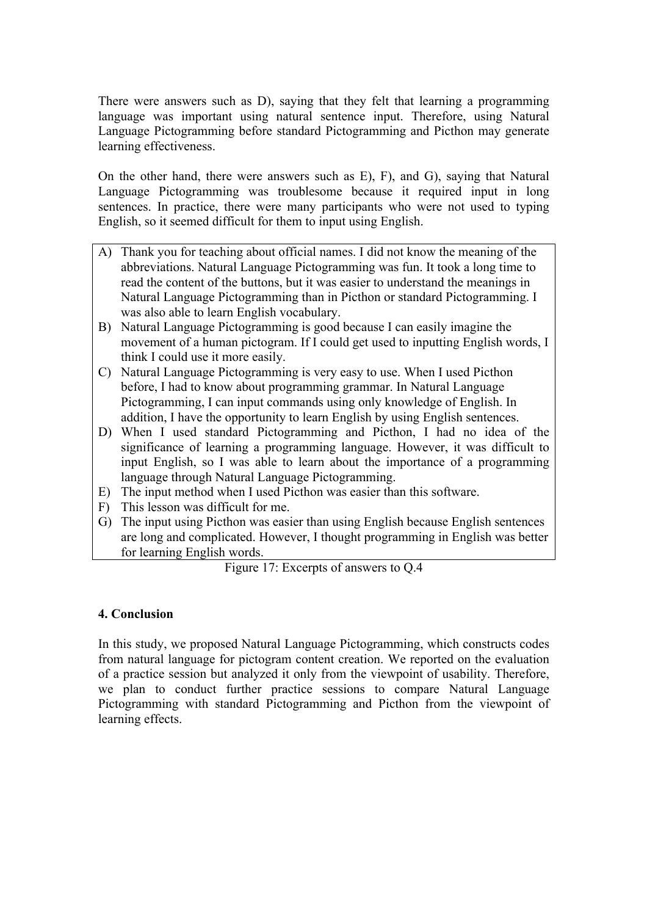There were answers such as D), saying that they felt that learning a programming language was important using natural sentence input. Therefore, using Natural Language Pictogramming before standard Pictogramming and Picthon may generate learning effectiveness.

On the other hand, there were answers such as E), F), and G), saying that Natural Language Pictogramming was troublesome because it required input in long sentences. In practice, there were many participants who were not used to typing English, so it seemed difficult for them to input using English.

- A) Thank you for teaching about official names. I did not know the meaning of the abbreviations. Natural Language Pictogramming was fun. It took a long time to read the content of the buttons, but it was easier to understand the meanings in Natural Language Pictogramming than in Picthon or standard Pictogramming. I was also able to learn English vocabulary.
- B) Natural Language Pictogramming is good because I can easily imagine the movement of a human pictogram. If I could get used to inputting English words, I think I could use it more easily.
- C) Natural Language Pictogramming is very easy to use. When I used Picthon before, I had to know about programming grammar. In Natural Language Pictogramming, I can input commands using only knowledge of English. In addition, I have the opportunity to learn English by using English sentences.
- D) When I used standard Pictogramming and Picthon, I had no idea of the significance of learning a programming language. However, it was difficult to input English, so I was able to learn about the importance of a programming language through Natural Language Pictogramming.
- E) The input method when I used Picthon was easier than this software.
- F) This lesson was difficult for me.
- G) The input using Picthon was easier than using English because English sentences are long and complicated. However, I thought programming in English was better for learning English words.

Figure 17: Excerpts of answers to Q.4

### **4. Conclusion**

In this study, we proposed Natural Language Pictogramming, which constructs codes from natural language for pictogram content creation. We reported on the evaluation of a practice session but analyzed it only from the viewpoint of usability. Therefore, we plan to conduct further practice sessions to compare Natural Language Pictogramming with standard Pictogramming and Picthon from the viewpoint of learning effects.